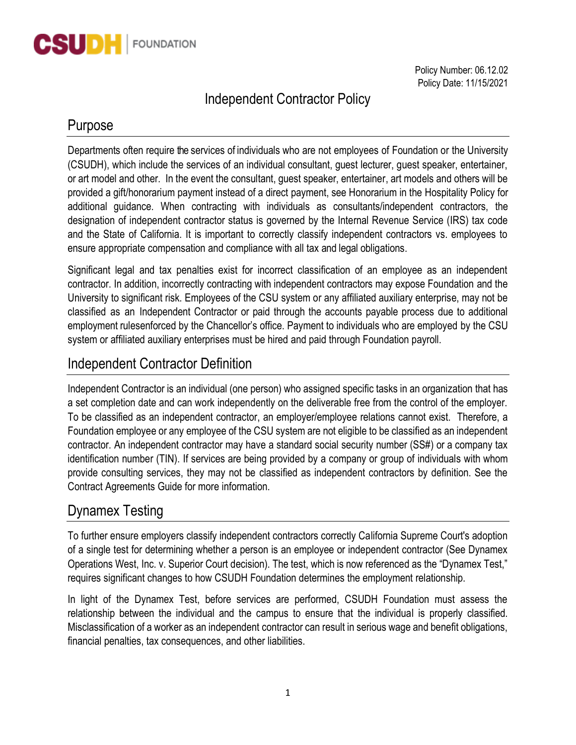

Policy Number: 06.12.02 Policy Date: 11/15/2021

# Independent Contractor Policy

#### Purpose

Departments often require the services of individuals who are not employees of Foundation or the University (CSUDH), which include the services of an individual consultant, guest lecturer, guest speaker, entertainer, or art model and other. In the event the consultant, guest speaker, entertainer, art models and others will be provided a gift/honorarium payment instead of a direct payment, see Honorarium in the Hospitality Policy for additional guidance. When contracting with individuals as consultants/independent contractors, the designation of independent contractor status is governed by the Internal Revenue Service (IRS) tax code and the State of California. It is important to correctly classify independent contractors vs. employees to ensure appropriate compensation and compliance with all tax and legal obligations.

Significant legal and tax penalties exist for incorrect classification of an employee as an independent contractor. In addition, incorrectly contracting with independent contractors may expose Foundation and the University to significant risk. Employees of the CSU system or any affiliated auxiliary enterprise, may not be classified as an Independent Contractor or paid through the accounts payable process due to additional employment rulesenforced by the Chancellor's office. Payment to individuals who are employed by the CSU system or affiliated auxiliary enterprises must be hired and paid through Foundation payroll.

## Independent Contractor Definition

Independent Contractor is an individual (one person) who assigned specific tasks in an organization that has a set completion date and can work independently on the deliverable free from the control of the employer. To be classified as an independent contractor, an employer/employee relations cannot exist. Therefore, a Foundation employee or any employee of the CSU system are not eligible to be classified as an independent contractor. An independent contractor may have a standard social security number (SS#) or a company tax identification number (TIN). If services are being provided by a company or group of individuals with whom provide consulting services, they may not be classified as independent contractors by definition. See the Contract Agreements Guide for more information.

## Dynamex Testing

To further ensure employers classify independent contractors correctly California Supreme Court's adoption of a single test for determining whether a person is an employee or independent contractor (See Dynamex Operations West, Inc. v. Superior Court decision). The test, which is now referenced as the "Dynamex Test," requires significant changes to how CSUDH Foundation determines the employment relationship.

In light of the Dynamex Test, before services are performed, CSUDH Foundation must assess the relationship between the individual and the campus to ensure that the individual is properly classified. Misclassification of a worker as an independent contractor can result in serious wage and benefit obligations, financial penalties, tax consequences, and other liabilities.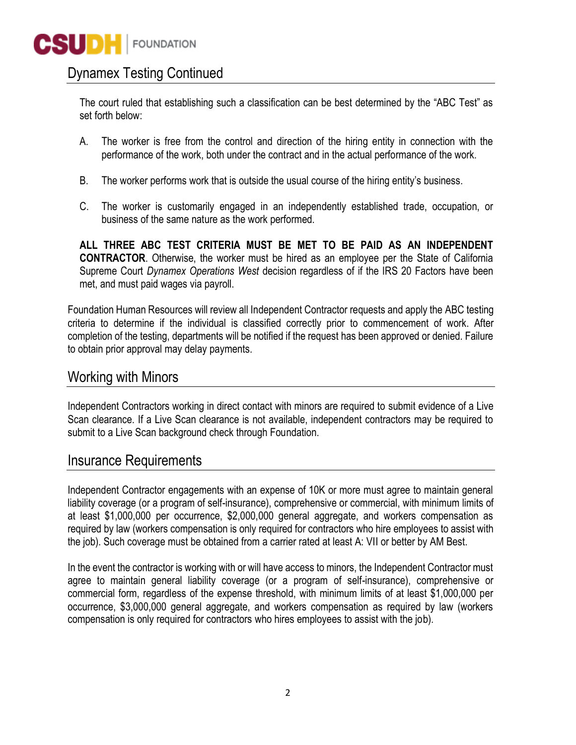## Dynamex Testing Continued

The court ruled that establishing such a classification can be best determined by the "ABC Test" as set forth below:

- A. The worker is free from the control and direction of the hiring entity in connection with the performance of the work, both under the contract and in the actual performance of the work.
- B. The worker performs work that is outside the usual course of the hiring entity's business.
- C. The worker is customarily engaged in an independently established trade, occupation, or business of the same nature as the work performed.

**ALL THREE ABC TEST CRITERIA MUST BE MET TO BE PAID AS AN INDEPENDENT CONTRACTOR**. Otherwise, the worker must be hired as an employee per the State of California Supreme Court *Dynamex Operations West* decision regardless of if the IRS 20 Factors have been met, and must paid wages via payroll.

Foundation Human Resources will review all Independent Contractor requests and apply the ABC testing criteria to determine if the individual is classified correctly prior to commencement of work. After completion of the testing, departments will be notified if the request has been approved or denied. Failure to obtain prior approval may delay payments.

#### Working with Minors

Independent Contractors working in direct contact with minors are required to submit evidence of a Live Scan clearance. If a Live Scan clearance is not available, independent contractors may be required to submit to a Live Scan background check through Foundation.

#### Insurance Requirements

Independent Contractor engagements with an expense of 10K or more must agree to maintain general liability coverage (or a program of self-insurance), comprehensive or commercial, with minimum limits of at least \$1,000,000 per occurrence, \$2,000,000 general aggregate, and workers compensation as required by law (workers compensation is only required for contractors who hire employees to assist with the job). Such coverage must be obtained from a carrier rated at least A: VII or better by AM Best.

In the event the contractor is working with or will have access to minors, the Independent Contractor must agree to maintain general liability coverage (or a program of self-insurance), comprehensive or commercial form, regardless of the expense threshold, with minimum limits of at least \$1,000,000 per occurrence, \$3,000,000 general aggregate, and workers compensation as required by law (workers compensation is only required for contractors who hires employees to assist with the job).